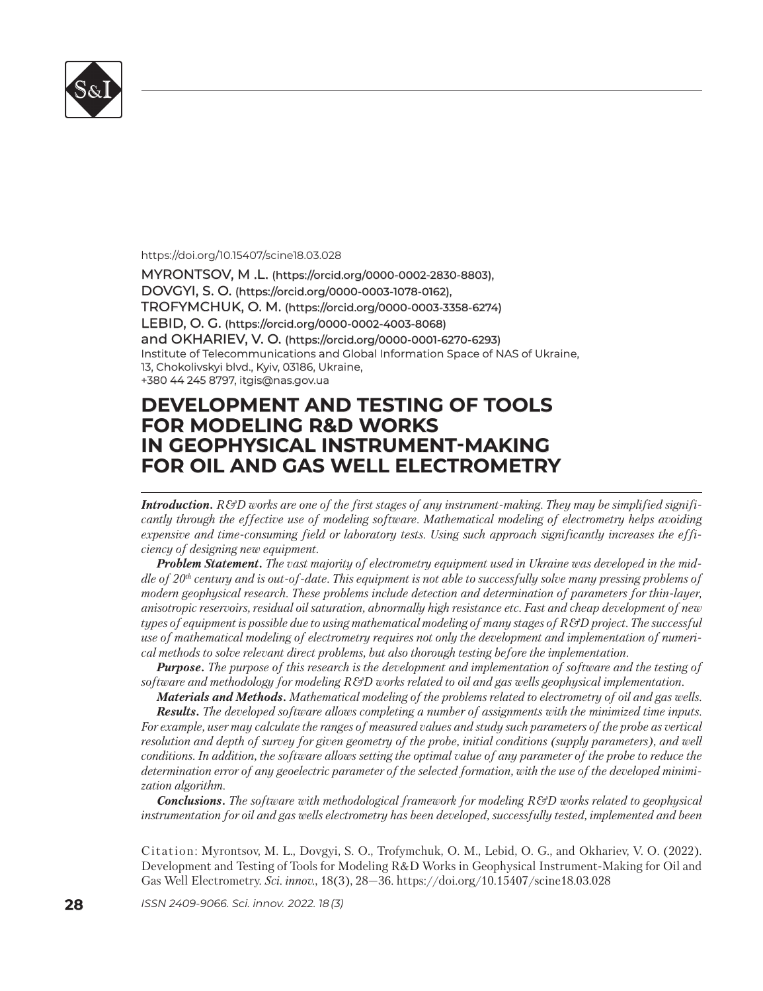

#### https://doi.org/10.15407/scine18.03.028

MYRONTSOV, M .L. (https://orcid.org/0000-0002-2830-8803), DOVGYI, S. O. (https://orcid.org/0000-0003-1078-0162), TROFYMCHUK, O. M. (https://orcid.org/0000-0003-3358-6274) LEBID, O. G. (https://orcid.org/0000-0002-4003-8068) and OKHARIEV, V. O. (https://orcid.org/0000-0001-6270-6293) Institute of Telecommunications and Global Information Space of NAS of Ukraine, 13, Chokolivskyi blvd., Kyiv, 03186, Ukraine, +380 44 245 8797, itgis@nas.gov.ua 380 44 245 8797,

# **DEVELOPMENT AND TESTING OF TOOLS EVELOPMENT AND TESTING OF TOOLS FOR MODELING R&D WORKS IN GEOPHYSICAL INSTRUMENT-MAKING FOR OIL AND GAS WELL ELECTROMETRY OR OIL AND GAS WELL ELECTROMETRY**

*Introduction. R&D works are one of the first stages of any instrument-making. They may be simplified significantly through the effective use of modeling software. Mathematical modeling of electrometry helps avoiding expensive and time-consuming field or laboratory tests. Using such approach significantly increases the efficiency of designing new equipment.* 

*Problem Statement. The vast majority of electrometry equipment used in Ukraine was developed in the middle of 20th century and is out-of-date. This equipment is not able to successfully solve many pressing problems of modern geophysical research. These problems include detection and determination of parameters for thin-layer, anisotropic reservoirs, residual oil saturation, abnormally high resistance etc. Fast and cheap development of new types of equipment is possible due to using mathematical modeling of many stages of R&D project. The successful use of mathematical modeling of electrometry requires not only the development and implementation of numerical methods to solve relevant direct problems, but also thorough testing before the implementation.*

*Purpose. The purpose of this research is the development and implementation of software and the testing of software and methodology for modeling R&D works related to oil and gas wells geophysical implementation.* 

*Materials and Methods. Mathematical modeling of the problems related to electrometry of oil and gas wells. Results. The developed software allows completing a number of assignments with the minimized time inputs. For example, user may calculate the ranges of measured values and study such parameters of the probe as vertical resolution and depth of survey for given geometry of the probe, initial conditions (supply parameters), and well conditions. In addition, the software allows setting the optimal value of any parameter of the probe to reduce the determination error of any geoelectric parameter of the selected formation, with the use of the developed minimization algorithm.* 

*Conclusions. The software with methodological framework for modeling R&D works related to geophysical instrumentation for oil and gas wells electrometry has been developed, successfully tested, implemented and been* 

Citation: Myrontsov, M. L., Dovgyi, S. O., Trofymchuk, O. M., Lebid, O. G., and Okhariev, V. O. (2022). Development and Testing of Tools for Modeling R&D Works in Geophysical Instrument-Making for Oil and Gas Well Electrometry. *Sci. innov.*, 18(3), 28–36. https://doi.org/10.15407/scine18.03.028

**28** *ISSN 2409-9066. Sci. innov.* 2022. 18 (3)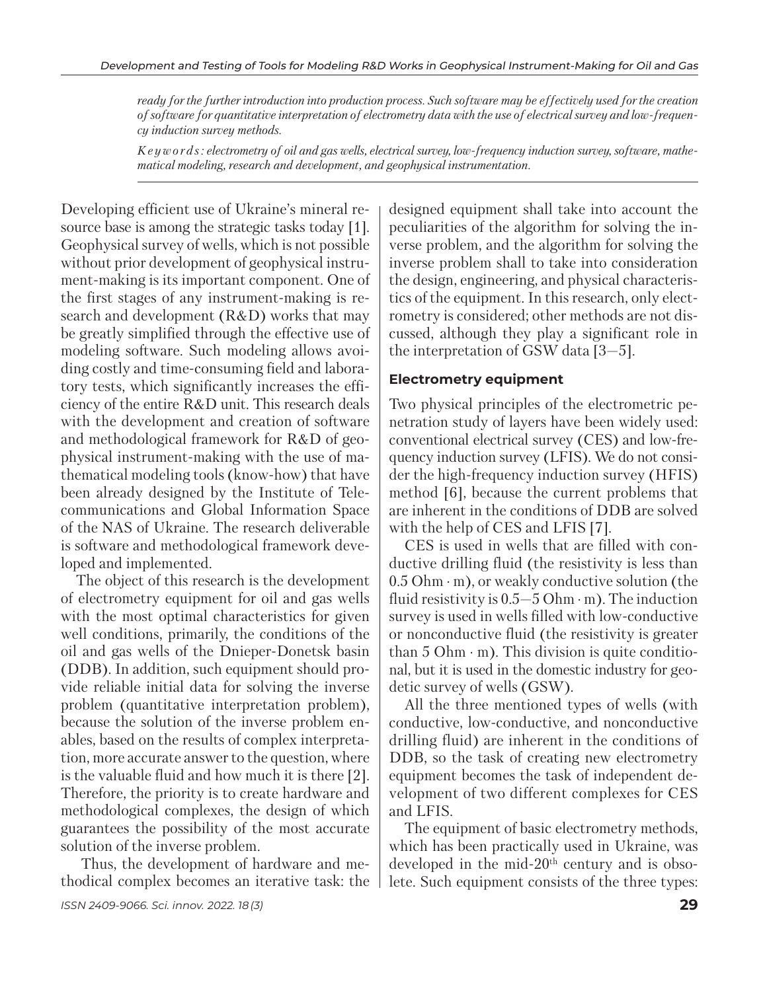*ready for the further introduction into production process. Such software may be effectively used for the creation of software for quantitative interpretation of electrometry data with the use of electrical survey and low-frequency induction survey methods.* 

*K e y w o r d s : electrometry of oil and gas wells, electrical survey, low-frequency induction survey, software, mathematical modeling, research and development, and geophysical instrumentation.*

Developing efficient use of Ukraine's mineral resource base is among the strategic tasks today [1]. Geophysical survey of wells, which is not possible without prior development of geophysical instrument-making is its important component. One of the first stages of any instrument-making is research and development (R&D) works that may be greatly simplified through the effective use of modeling software. Such modeling allows avoiding costly and time-consuming field and laboratory tests, which significantly increases the efficiency of the entire R&D unit. This research deals with the development and creation of software and methodological framework for R&D of geophysical instrument-making with the use of mathematical modeling tools (know-how) that have been already designed by the Institute of Telecommunications and Global Information Space of the NAS of Ukraine. The research deliverable is software and methodological framework developed and implemented.

The object of this research is the development of electrometry equipment for oil and gas wells with the most optimal characteristics for given well conditions, primarily, the conditions of the oil and gas wells of the Dnieper-Donetsk basin (DDB). In addition, such equipment should provide reliable initial data for solving the inverse problem (quantitative interpretation problem), because the solution of the inverse problem enables, based on the results of complex interpretation, more accurate answer to the question, where is the valuable fluid and how much it is there [2]. Therefore, the priority is to create hardware and methodological complexes, the design of which guarantees the possibility of the most accurate solution of the inverse problem.

 Thus, the development of hardware and methodical complex becomes an iterative task: the designed equipment shall take into account the peculiarities of the algorithm for solving the inverse problem, and the algorithm for solving the inverse problem shall to take into consideration the design, engineering, and physical characteristics of the equipment. In this research, only electrometry is considered; other methods are not discussed, although they play a significant role in the interpretation of GSW data [3—5].

### **Electrometry equipment**

Two physical principles of the electrometric penetration study of layers have been widely used: conventional electrical survey (CES) and low-frequency induction survey (LFIS). We do not consider the high-frequency induction survey (HFIS) method [6], because the current problems that are inherent in the conditions of DDB are solved with the help of CES and LFIS [7].

CES is used in wells that are filled with conductive drilling fluid (the resistivity is less than  $0.5$  Ohm $\cdot$ m), or weakly conductive solution (the fluid resistivity is  $0.5-5$  Ohm $\cdot$ m). The induction survey is used in wells filled with low-conductive or nonconductive fluid (the resistivity is greater than  $5$  Ohm  $\cdot$  m). This division is quite conditional, but it is used in the domestic industry for geodetic survey of wells (GSW).

All the three mentioned types of wells (with conductive, low-conductive, and nonconductive drilling fluid) are inherent in the conditions of DDB, so the task of creating new electrometry equipment becomes the task of independent development of two different complexes for CES and LFIS.

The equipment of basic electrometry methods, which has been practically used in Ukraine, was developed in the mid-20th century and is obsolete. Such equipment consists of the three types: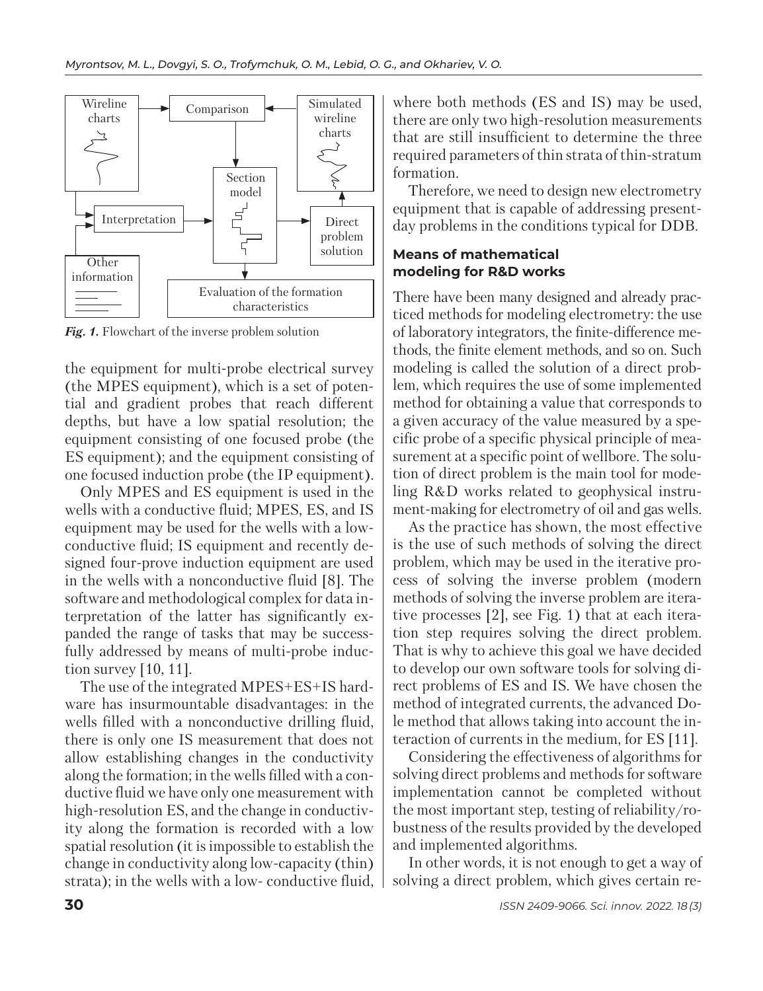

Fig. 1. Flowchart of the inverse problem solution

the equipment for multi-probe electrical survey (the MPES equipment), which is a set of potential and gradient probes that reach different depths, but have a low spatial resolution; the equipment consisting of one focused probe (the ES equipment); and the equipment consisting of one focused induction probe (the IP equipment).

Only MPES and ES equipment is used in the wells with a conductive fluid; MPES, ES, and IS equipment may be used for the wells with a lowconductive fluid; IS equipment and recently designed four-prove induction equipment are used in the wells with a nonconductive fluid [8]. The software and methodological complex for data interpretation of the latter has significantly expanded the range of tasks that may be successfully addressed by means of multi-probe induction survey [10, 11].

The use of the integrated MPES+ES+IS hardware has insurmountable disadvantages: in the wells filled with a nonconductive drilling fluid, there is only one IS measurement that does not allow establishing changes in the conductivity along the formation; in the wells filled with a conductive fluid we have only one measurement with high-resolution ES, and the change in conductivity along the formation is recorded with a low spatial resolution (it is impossible to establish the change in conductivity along low-capacity (thin) strata); in the wells with a low- conductive fluid, where both methods (ES and IS) may be used, there are only two high-resolution measurements that are still insufficient to determine the three required parameters of thin strata of thin-stratum formation.

Therefore, we need to design new electrometry equipment that is capable of addressing presentday problems in the conditions typical for DDB.

# **Means of mathematical modeling for R&D works**

There have been many designed and already practiced methods for modeling electrometry: the use of laboratory integrators, the finite-difference me thods, the finite element methods, and so on. Such modeling is called the solution of a direct problem, which requires the use of some implemented method for obtaining a value that corresponds to a given accuracy of the value measured by a specific probe of a specific physical principle of measurement at a specific point of wellbore. The solution of direct problem is the main tool for modeling R&D works related to geophysical instrument-making for electrometry of oil and gas wells.

As the practice has shown, the most effective is the use of such methods of solving the direct problem, which may be used in the iterative process of solving the inverse problem (modern methods of solving the inverse problem are iterative processes [2], see Fig. 1) that at each iteration step requires solving the direct problem. That is why to achieve this goal we have decided to develop our own software tools for solving direct problems of ES and IS. We have chosen the method of integrated currents, the advanced Dole method that allows taking into account the interaction of currents in the medium, for ES [11].

Considering the effectiveness of algorithms for solving direct problems and methods for software implementation cannot be completed without the most important step, testing of reliability/robustness of the results provided by the developed and implemented algorithms.

In other words, it is not enough to get a way of solving a direct problem, which gives certain re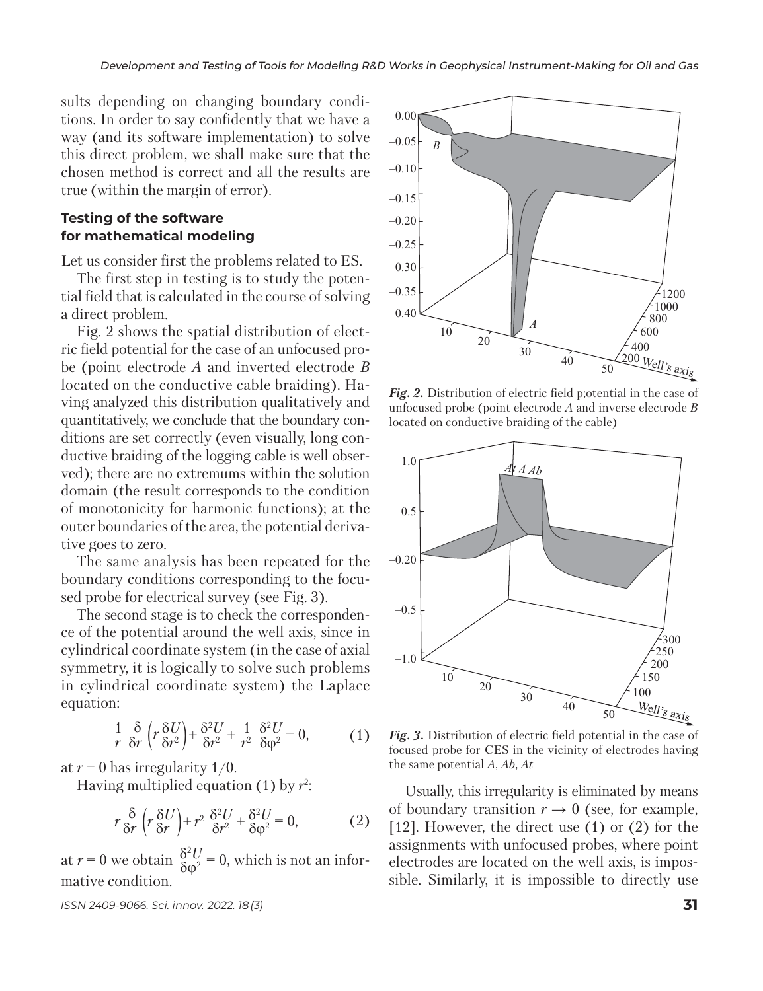sults depending on changing boundary conditions. In order to say confidently that we have a way (and its software implementation) to solve this direct problem, we shall make sure that the chosen method is correct and all the results are true (within the margin of error).

# **Testing of the software for mathematical modeling**

Let us consider first the problems related to ES.

The first step in testing is to study the potential field that is calculated in the course of solving a direct problem.

Fig. 2 shows the spatial distribution of electric field potential for the case of an unfocused probe (point electrode *A* and inverted electrode *B* located on the conductive cable braiding). Having analyzed this distribution qualitatively and quant itatively, we conclude that the boundary conditions are set correctly (even visually, long conductive braiding of the logging cable is well observed); there are no extremums within the solution domain (the result corresponds to the condition of monotonicity for harmonic functions); at the outer boundaries of the area, the potential derivative goes to zero.

The same analysis has been repeated for the boun dary conditions corresponding to the focused probe for electrical survey (see Fig. 3).

The second stage is to check the correspondence of the potential around the well axis, since in cylindrical coordinate system (in the case of axial symmetry, it is logically to solve such problems in cylindrical coordinate system) the Laplace equation:

$$
\frac{1}{r}\frac{\delta}{\delta r}\left(r\frac{\delta U}{\delta r^2}\right) + \frac{\delta^2 U}{\delta r^2} + \frac{1}{r^2}\frac{\delta^2 U}{\delta \varphi^2} = 0, \tag{1}
$$

at  $r = 0$  has irregularity 1/0.

Having multiplied equation (1) by  $r^2$ :

$$
r\frac{\delta}{\delta r}\left(r\frac{\delta U}{\delta r}\right)+r^2\frac{\delta^2 U}{\delta r^2}+\frac{\delta^2 U}{\delta \varphi^2}=0,\qquad (2)
$$

at  $r = 0$  we obtain  $\frac{\delta^2 U}{\delta \omega^2} = 0$ , which is not an informative condition.  $δ$ φ<sup>2</sup>

*ISSN 2409-9066. Sci. innov.* 2022. 18 (3) **31**



*Fig. 2.* Distribution of electric field p;otential in the case of unfocused probe (point electrode *A* and inverse electrode *B*  located on conductive braiding of the cable)



*Fig. 3.* Distribution of electric field potential in the case of focused probe for CES in the vicinity of electrodes having the same potential *A*, *Ab*, *At*

Usually, this irregularity is eliminated by means of boundary transition  $r \to 0$  (see, for example, [12]. However, the direct use (1) or (2) for the assignments with unfocused probes, where point electrodes are located on the well axis, is impossible. Similarly, it is impossible to directly use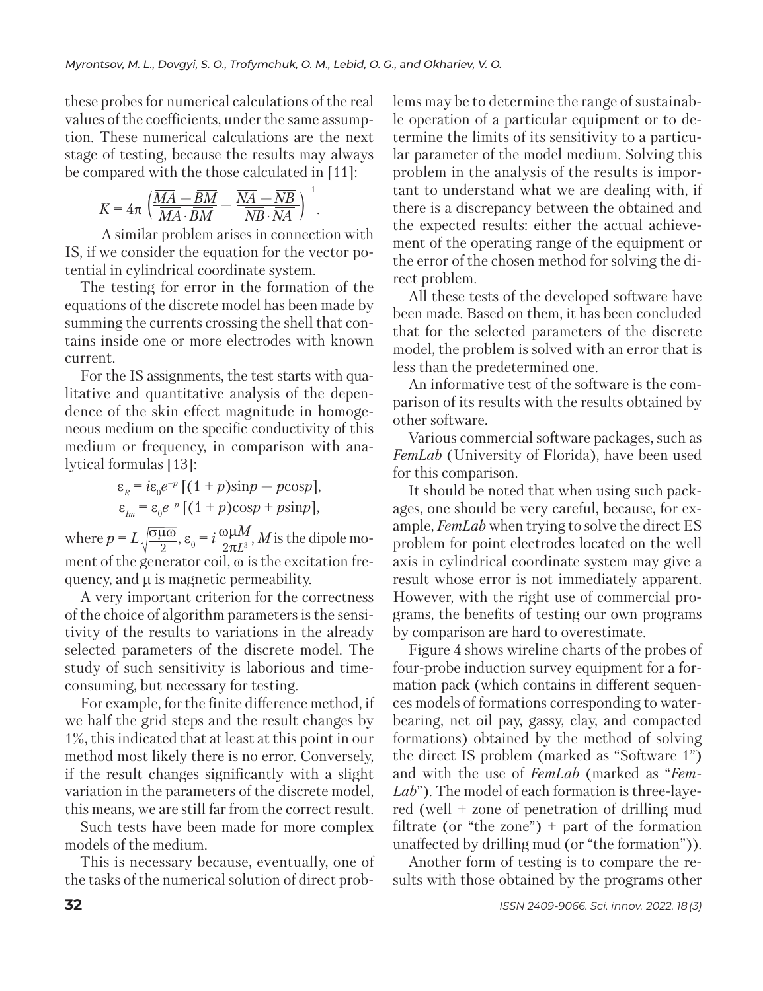these probes for numerical calculations of the real values of the coefficients, under the same assumption. These numerical calculations are the next stage of testing, because the results may always be compared with the those calculated in [11]:

$$
K=4\pi\left(\frac{\overline{MA}-\overline{BM}}{\overline{MA}\cdot\overline{BM}}-\frac{\overline{NA}-\overline{NB}}{\overline{NB}\cdot\overline{NA}}\right)^{-1}.
$$

 A similar problem arises in connection with IS, if we consider the equation for the vector potential in cylindrical coordinate system.

The testing for error in the formation of the equations of the discrete model has been made by summing the currents crossing the shell that contains inside one or more electrodes with known current.

For the IS assignments, the test starts with qualitative and quantitative analysis of the dependence of the skin effect magnitude in homogeneous medium on the specific conductivity of this medium or frequency, in comparison with analytical formulas [13]:

$$
\varepsilon_{R} = i\varepsilon_{0}e^{-p} \left[ (1+p)\sin p - p \cos p \right],
$$
  

$$
\varepsilon_{Im} = \varepsilon_{0}e^{-p} \left[ (1+p)\cos p + p \sin p \right],
$$

where  $p = L \sqrt{\frac{\sigma \mu \omega}{2}}$ ,  $\varepsilon_0 = i \frac{\omega \mu M}{2 \pi I^3}$ , *M* is the dipole mo ment of the generator coil, ω is the excitation frequency, and μ is magnetic permeability.  $2\pi L^3$ σμω 2

A very important criterion for the correctness of the choice of algorithm parameters is the sensitivity of the results to variations in the already selected parameters of the discrete model. The study of such sensitivity is laborious and timeconsuming, but necessary for testing.

For example, for the finite difference method, if we half the grid steps and the result changes by 1%, this indicated that at least at this point in our method most likely there is no error. Conversely, if the result changes significantly with a slight variation in the parameters of the discrete model, this means, we are still far from the correct result.

Such tests have been made for more complex models of the medium.

This is necessary because, eventually, one of the tasks of the numerical solution of direct problems may be to determine the range of sustainable operation of a particular equipment or to determine the limits of its sensitivity to a particular parameter of the model medium. Solving this problem in the analysis of the results is important to understand what we are dealing with, if there is a discrepancy between the obtained and the expected results: either the actual achievement of the operating range of the equipment or the error of the chosen method for solving the direct problem.

All these tests of the developed software have been made. Based on them, it has been concluded that for the selected parameters of the discrete model, the problem is solved with an error that is less than the predetermined one.

An informative test of the software is the comparison of its results with the results obtained by other software.

Various commercial software packages, such as *FemLab* (University of Florida), have been used for this comparison.

It should be noted that when using such packages, one should be very careful, because, for example, *FemLab* when trying to solve the direct ES problem for point electrodes located on the well axis in cylindrical coordinate system may give a result whose error is not immediately apparent. However, with the right use of commercial programs, the benefits of testing our own programs by comparison are hard to overestimate.

Figure 4 shows wireline charts of the probes of four-probe induction survey equipment for a formation pack (which contains in different sequences models of formations corresponding to waterbearing, net oil pay, gassy, clay, and compacted formations) obtained by the method of solving the direct IS problem (marked as "Software 1") and with the use of *FemLab* (marked as "*Fem-Lab*"). The model of each formation is three-layered (well + zone of penetration of drilling mud filtrate (or "the zone") + part of the formation unaffected by drilling mud (or "the formation")).

Another form of testing is to compare the results with those obtained by the programs other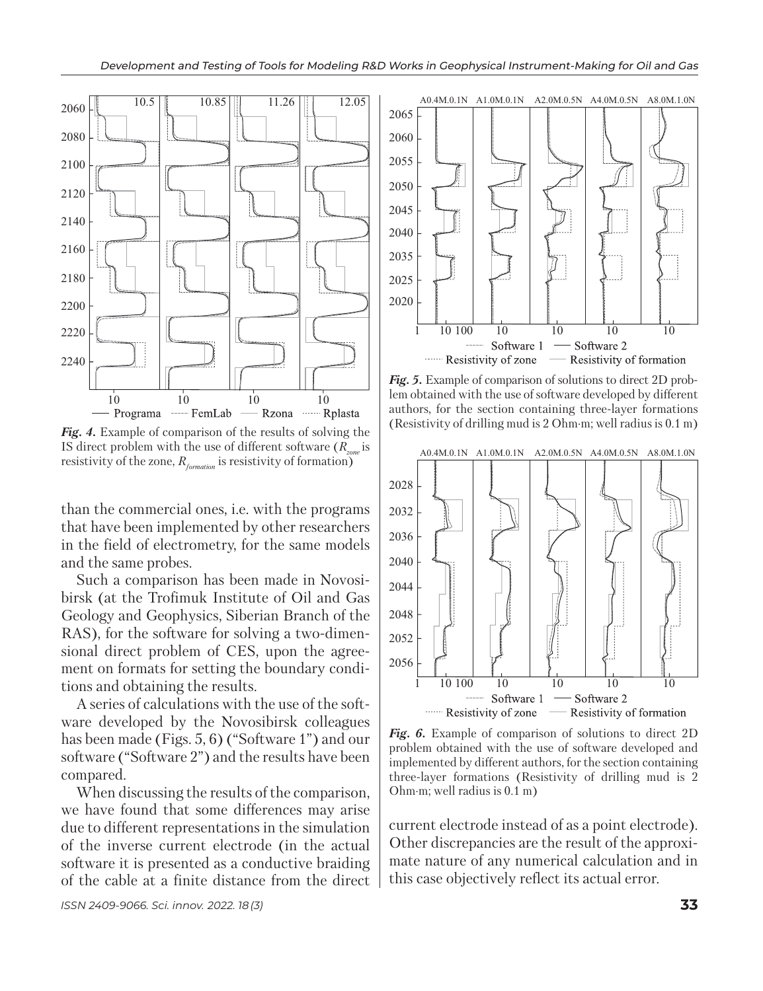

Fig. 4. Example of comparison of the results of solving the IS direct problem with the use of different software  $(R_{\text{max}})$  is resistivity of the zone,  $R_{formation}$  is resistivity of formation)

than the commercial ones, i.e. with the programs that have been implemented by other researchers in the field of electrometry, for the same models and the same probes.

Such a comparison has been made in Novosibirsk (at the Trofimuk Institute of Oil and Gas Geology and Geophysics, Siberian Branch of the RAS), for the software for solving a two-dimensional direct problem of CES, upon the agreement on formats for setting the boundary conditions and obtaining the results.

A series of calculations with the use of the software developed by the Novosibirsk colleagues has been made (Figs. 5, 6) ("Software 1") and our software ("Software 2") and the results have been compared.

When discussing the results of the comparison, we have found that some differences may arise due to different representations in the simulation of the inverse current electrode (in the actual software it is presented as a conductive braiding of the cable at a finite distance from the direct



*Fig. 5.* Example of comparison of solutions to direct 2D problem obtained with the use of software developed by different authors, for the section containing three-layer formations (Resistivity of drilling mud is 2 Ohm·m; well radius is 0.1 m)



*Fig. 6.* Example of comparison of solutions to direct 2D problem obtained with the use of software developed and implemented by different authors, for the section containing three-layer formations (Resistivity of drilling mud is 2 Ohm·m; well radius is 0.1 m)

current electrode instead of as a point electrode). Other discrepancies are the result of the approximate nature of any numerical calculation and in this case objectively reflect its actual error.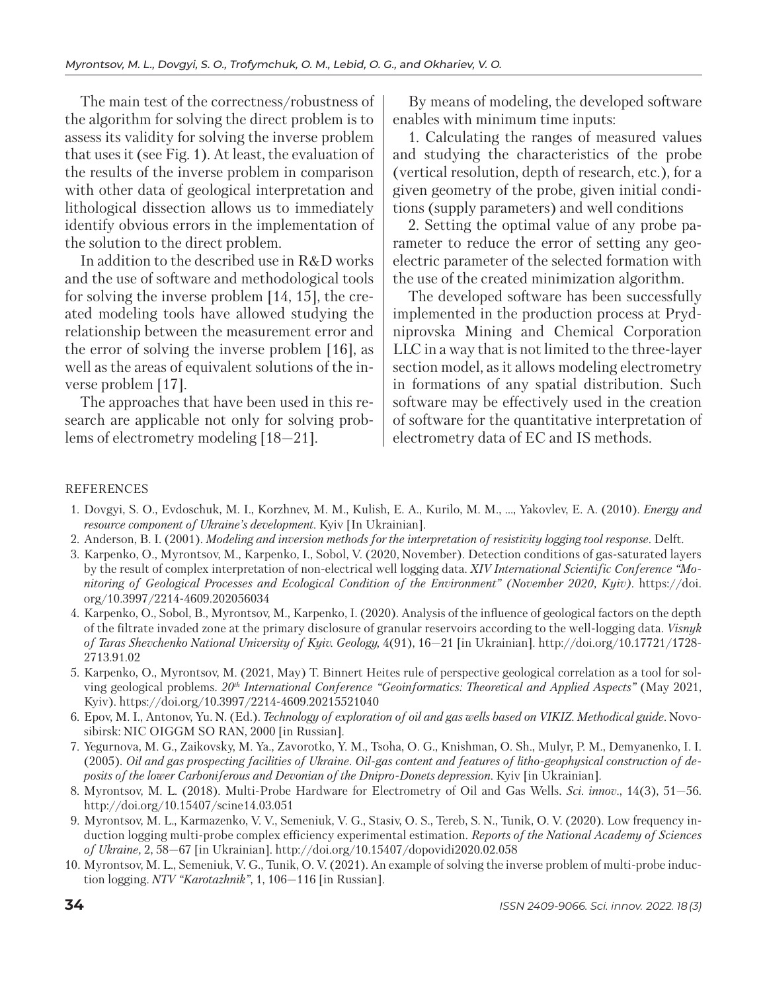The main test of the correctness/robustness of the algorithm for solving the direct problem is to assess its validity for solving the inverse problem that uses it (see Fig. 1). At least, the evaluation of the results of the inverse problem in comparison with other data of geological interpretation and lithological dissection allows us to immediately identify obvious errors in the implementation of the solution to the direct problem.

In addition to the described use in R&D works and the use of software and methodological tools for solving the inverse problem [14, 15], the created modeling tools have allowed studying the relationship between the measurement error and the error of solving the inverse problem [16], as well as the areas of equivalent solutions of the inverse problem [17].

The approaches that have been used in this research are applicable not only for solving problems of electrometry modeling [18—21].

By means of modeling, the developed software enables with minimum time inputs:

1. Calculating the ranges of measured values and studying the characteristics of the probe (vertical resolution, depth of research, etc.), for a given geometry of the probe, given initial conditions (supply parameters) and well conditions

2. Setting the optimal value of any probe parameter to reduce the error of setting any geoelectric parameter of the selected formation with the use of the created minimization algorithm.

The developed software has been successfully implemented in the production process at Prydniprovska Mining and Chemical Corporation LLC in a way that is not limited to the three-layer section model, as it allows modeling electrometry in formations of any spatial distribution. Such software may be effectively used in the creation of software for the quantitative interpretation of electrometry data of EC and IS methods.

#### **REFERENCES**

- 1. Dovgyi, S. O., Evdoschuk, M. I., Korzhnev, M. M., Kulish, E. A., Kurilo, M. M., …, Yakovlev, E. A. (2010). *Energy and resource component of Ukraine's development*. Kyiv [In Ukrainian].
- 2. Anderson, B. I. (2001). *Modeling and inversion methods for the interpretation of resistivity logging tool response*. Delft.
- 3. Karpenko, O., Myrontsov, M., Karpenko, I., Sobol, V. (2020, November). Detection conditions of gas-saturated layers by the result of complex interpretation of non-electrical well logging data. *XIV International Scientific Conference "Moni toring of Geological Processes and Ecological Condition of the Environment" (November 2020, Kyiv).* https://doi. org/10.3997/2214-4609.202056034
- 4. Karpenko, O., Sobol, B., Myrontsov, M., Karpenko, I. (2020). Analysis of the influence of geological factors on the depth of the filtrate invaded zone at the primary disclosure of granular reservoirs according to the well-logging data. *Visnyk of Taras Shevchenko National University of Kyiv. Geology,* 4(91), 16—21 [іn Ukrainian]. http://doi.org/10.17721/1728- 2713.91.02
- 5. Karpenko, O., Myrontsov, M. (2021, May) T. Binnert Heites rule of perspective geological correlation as a tool for solving geological problems. *20th International Conference "Geoinformatics: Theoretical and Applied Aspects"* (May 2021, Kyiv). https://doi.org/10.3997/2214-4609.20215521040
- 6. Epov, M. I., Antonov, Yu. N. (Еd*.*). *Technology of exploration of oil and gas wells based on VIKIZ. Methodical guide.* Novosibirsk: NIC OIGGM SO RAN, 2000 [in Russian].
- 7. Yegurnova, M. G., Zaikovsky, M. Ya., Zavorotko, Y. M., Tsoha, O. G., Knishman, O. Sh., Mulyr, P. M., Demyanenko, I. I. (2005). *Oil and gas prospecting facilities of Ukraine. Oil-gas content and features of litho-geophysical construction of deposits of the lower Carboniferous and Devonian of the Dnipro-Donets depression*. Kyiv [in Ukrainian].
- 8. Myrontsov, M. L. (2018). Multi-Probe Hardware for Electrometry of Oil and Gas Wells. *Sci. innov*., 14(3), 51—56. http://doi.org/10.15407/scine14.03.051
- 9. Myrontsov, M. L., Karmazenko, V. V., Semeniuk, V. G., Stasiv, O. S., Tereb, S. N., Tunik, O. V. (2020). Low frequency induction logging multi-probe complex efficiency experimental estimation. *Reports of the National Academy of Sciences of Ukraine,* 2, 58—67 [іn Ukrainian]. http://doi.org/10.15407/dopovidi2020.02.058
- 10. Myrontsov, M. L., Semeniuk, V. G., Tunik, O. V. (2021). An example of solving the inverse problem of multi-probe induction logging. *NTV "Karotazhnik"*, 1, 106—116 [іn Russian].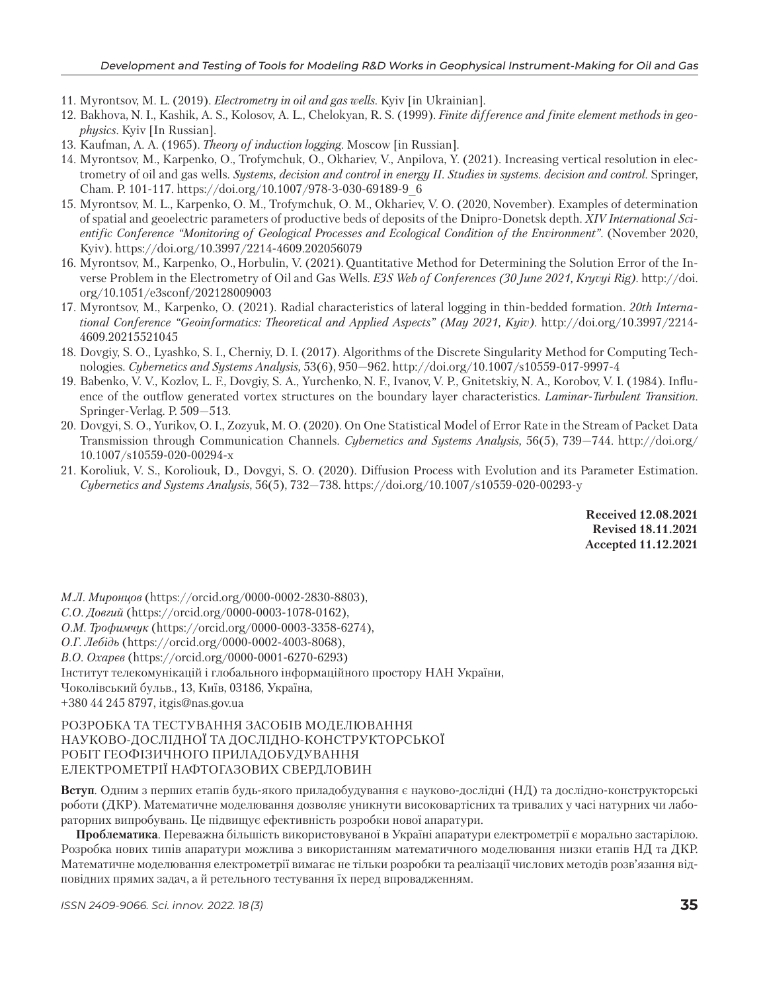- 11. Myrontsov, M. L. (2019). *Electrometry in oil and gas wells*. Kyiv [in Ukrainian].
- 12. Bakhova, N. I., Kashik, A. S., Kolosov, A. L., Chelokyan, R. S. (1999). *Finite difference and finite element methods in geophysics*. Kyiv [In Russian].
- 13. Kaufman, A. A. (1965). *Theory of induction logging*. Moscow [in Russian].
- 14. Myrontsov, M., Karpenko, O., Trofymchuk, O., Okhariev, V., Anpilova, Y. (2021). Increasing vertical resolution in electrometry of oil and gas wells. *Systems, decision and control in energy II. Studies in systems. decision and control*. Springer, Cham. P. 101-117. https://doi.org/10.1007/978-3-030-69189-9\_6
- 15. Myrontsov, M. L., Karpenko, O. M., Trofymchuk, O. M., Okhariev, V. O. (2020, November). Examples of determination of spatial and geoelectric parameters of productive beds of deposits of the Dnipro-Donetsk depth. *XIV International Scientific Conference "Monitoring of Geological Processes and Ecological Condition of the Environment".* (November 2020, Kyiv)*.* https://doi.org/10.3997/2214-4609.202056079
- 16. Myrontsov, M., Karpenko, O., Horbulin, V. (2021). Quantitative Method for Determining the Solution Error of the Inverse Problem in the Electrometry of Oil and Gas Wells. *E3S Web of Conferences (30 June 2021, Kryvyi Rig).* http://doi. org/10.1051/e3sconf/202128009003
- 17. Myrontsov, M., Karpenko, O. (2021). Radial characteristics of lateral logging in thin-bedded formation. *20th International Conference "Geoinformatics: Theoretical and Applied Aspects" (May 2021, Kyiv)*. http://doi.org/10.3997/2214- 4609.20215521045
- 18. Dovgiy, S. O., Lyashko, S. I., Cherniy, D. I. (2017). Algorithms of the Discrete Singularity Method for Computing Technologies*. Cybernetics and Systems Analysis,* 53(6), 950—962. http://doi.org/10.1007/s10559-017-9997-4
- 19. Babenko, V. V., Kozlov, L. F., Dovgiy, S. A., Yurchenko, N. F., Ivanov, V. P., Gnitetskiy, N. A., Korobov, V. I. (1984). Influence of the outflow generated vortex structures on the boundary layer characteristics. *Laminar-Turbulent Transition*. Springer-Verlag. P. 509—513.
- 20. Dovgyi, S. O., Yurikov, O. I., Zozyuk, M. O. (2020). On One Statistical Model of Error Rate in the Stream of Packet Data Transmission through Communication Channels. *Cybernetics and Systems Analysis,* 56(5), 739—744. http://doi.org/ 10.1007/s10559-020-00294-x
- 21. Koroliuk, V. S., Koroliouk, D., Dovgyi, S. O. (2020). Diffusion Process with Evolution and its Parameter Estimation. *Cybernetics and Systems Analysis*, 56(5), 732—738. https://doi.org/10.1007/s10559-020-00293-y

**Received 12.08.2021 Revised 18.11.2021 Accepted 11.12.2021**

*М.Л. Миронцов* (https://orcid.org/0000-0002-2830-8803),

*С.О. Довгий* (https://orcid.org/0000-0003-1078-0162),

*О.М. Трофимчук* (https://orcid.org/0000-0003-3358-6274),

*О.Г. Лебідь* (https://orcid.org/0000-0002-4003-8068),

*В.О. Охарєв* (https://orcid.org/0000-0001-6270-6293)

Інститут телекомунікацій і глобального інформаційного простору НАН України,

Чоколівський бульв., 13, Київ, 03186, Україна,

+380 44 245 8797, itgis@nas.gov.ua

#### РОЗРОБКА ТА ТЕСТУВАННЯ ЗАСОБІВ МОДЕЛЮВАННЯ НАУКОВО-ДОСЛІДНОЇ ТА ДОСЛІДНО-КОНСТРУКТОРСЬКОЇ РОБІТ ГЕОФІЗИЧНОГО ПРИЛАДОБУДУВАННЯ ЕЛЕКТРОМЕТРІЇ НАФТОГАЗОВИХ СВЕРДЛОВИН

**Вступ**. Одним з перших етапів будь-якого приладобудування є науково-дослідні (НД) та дослідно-конструкторські роботи (ДКР). Математичне моделювання дозволяє уникнути високовартісних та тривалих у часі натурних чи лабораторних випробувань. Це підвищує ефективність розробки нової апаратури.

**Проблематика**. Переважна більшість використовуваної в Україні апаратури електрометрії є морально застарілою. Розробка нових типів апаратури можлива з використанням математичного моделювання низки етапів НД та ДКР. Математичне моделювання електрометрії вимагає не тільки розробки та реалізації числових методів розв'язання відповідних прямих задач, а й ретельного тестування їх перед впровадженням.